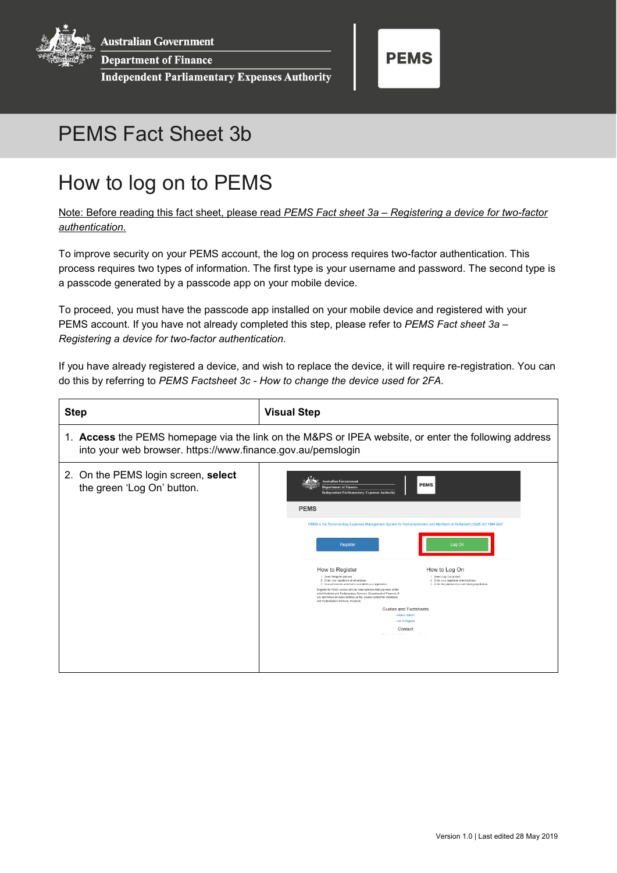**Australian Government** 

**Department of Finance** 

**Independent Parliamentary Expenses Authority** 



## PEMS Fact Sheet 3b

## How to log on to PEMS

Note: Before reading this fact sheet, please read *PEMS Fact sheet 3a – Registering a device for two-factor authentication*.

To improve security on your PEMS account, the log on process requires two-factor authentication. This process requires two types of information. The first type is your username and password. The second type is a passcode generated by a passcode app on your mobile device.

To proceed, you must have the passcode app installed on your mobile device and registered with your PEMS account. If you have not already completed this step, please refer to *PEMS Fact sheet 3a – Registering a device for two-factor authentication*.

If you have already registered a device, and wish to replace the device, it will require re-registration. You can do this by referring to *PEMS Factsheet 3c - How to change the device used for 2FA.*

| <b>Step</b>                                                                                                                                                         | <b>Visual Step</b>                                                                                                                                                                                                                                                                                                                                                                                                                                                                                                                                                                                                                                                                                                                                                                                                                                                                                                                                                                                                          |  |  |
|---------------------------------------------------------------------------------------------------------------------------------------------------------------------|-----------------------------------------------------------------------------------------------------------------------------------------------------------------------------------------------------------------------------------------------------------------------------------------------------------------------------------------------------------------------------------------------------------------------------------------------------------------------------------------------------------------------------------------------------------------------------------------------------------------------------------------------------------------------------------------------------------------------------------------------------------------------------------------------------------------------------------------------------------------------------------------------------------------------------------------------------------------------------------------------------------------------------|--|--|
| 1. Access the PEMS homepage via the link on the M&PS or IPEA website, or enter the following address<br>into your web browser. https://www.finance.gov.au/pemslogin |                                                                                                                                                                                                                                                                                                                                                                                                                                                                                                                                                                                                                                                                                                                                                                                                                                                                                                                                                                                                                             |  |  |
| 2. On the PEMS login screen, select<br>the green 'Log On' button.                                                                                                   | <b>Australian Government</b><br><b>PEMS</b><br><b>Department of Finance</b><br><b>Independent Parliamentary Expenses Authority</b><br><b>PEMS</b><br>PEMS is the Parliamentary Expenses Management System for Parliamentarians and Members of Parliament (Staff) Act 1984 Staff<br>Log On<br><b>Register</b><br>How to Register<br>How to Log On<br>1. Select Register (above)<br>1. Select Log On (above)<br>2. Enter your registered email address<br>2. Enter your registered email address<br>3. You will receive an email to complete your registration<br>3. Enter the password you set during registration<br>Register for PEMS access with the email address that you have on file<br>with Ministerial and Parliamentary Services (Department of Finance). If<br>you don't have an email address on file, please contact the Ministerial<br>and Parliamentary Services Helpdesk<br>Guides and Factsheets<br>What is PEMS?<br><b>How to Register</b><br>Contact<br>$\sim$ 100 $\pm$<br>the company of the company of |  |  |